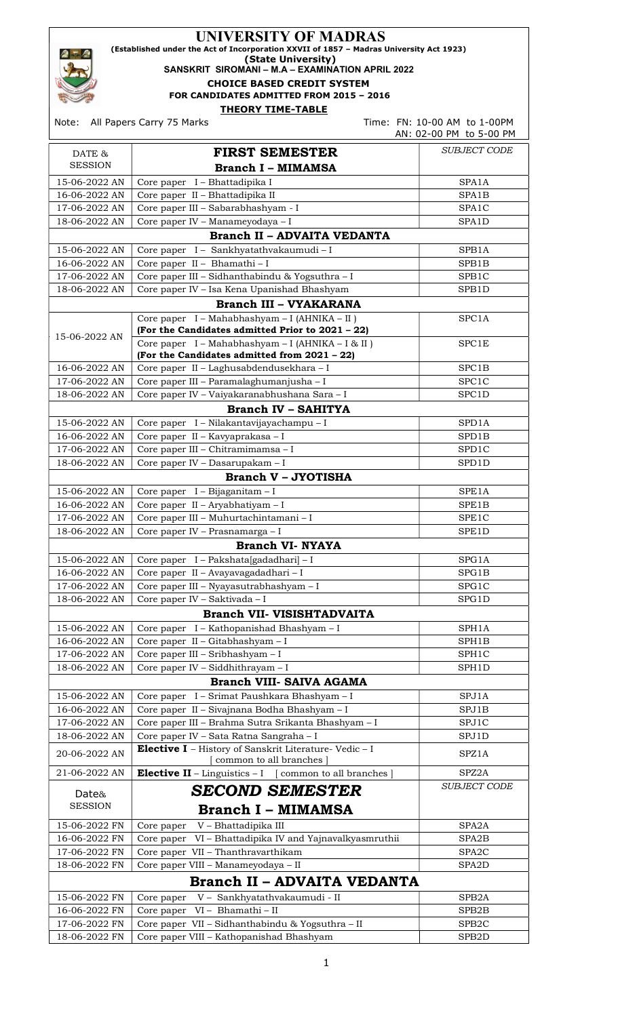| <b>UNIVERSITY OF MADRAS</b><br>(Established under the Act of Incorporation XXVII of 1857 - Madras University Act 1923)<br>(State University)<br>SANSKRIT SIROMANI - M.A - EXAMINATION APRIL 2022<br><b>CHOICE BASED CREDIT SYSTEM</b><br>FOR CANDIDATES ADMITTED FROM 2015 - 2016 |                                                                                                   |                                                         |  |
|-----------------------------------------------------------------------------------------------------------------------------------------------------------------------------------------------------------------------------------------------------------------------------------|---------------------------------------------------------------------------------------------------|---------------------------------------------------------|--|
| Note:                                                                                                                                                                                                                                                                             | <b>THEORY TIME-TABLE</b><br>All Papers Carry 75 Marks                                             | Time: FN: 10-00 AM to 1-00PM<br>AN: 02-00 PM to 5-00 PM |  |
| DATE &                                                                                                                                                                                                                                                                            | <b>FIRST SEMESTER</b>                                                                             | <i>SUBJECT CODE</i>                                     |  |
| <b>SESSION</b>                                                                                                                                                                                                                                                                    | <b>Branch I - MIMAMSA</b>                                                                         |                                                         |  |
| 15-06-2022 AN                                                                                                                                                                                                                                                                     | Core paper I - Bhattadipika I                                                                     | SPA1A                                                   |  |
| 16-06-2022 AN                                                                                                                                                                                                                                                                     | Core paper II - Bhattadipika II                                                                   | SPA1B                                                   |  |
| 17-06-2022 AN                                                                                                                                                                                                                                                                     | Core paper III - Sabarabhashyam - I                                                               | SPA1C                                                   |  |
| 18-06-2022 AN                                                                                                                                                                                                                                                                     | Core paper IV - Manameyodaya - I                                                                  | SPA1D                                                   |  |
|                                                                                                                                                                                                                                                                                   | <b>Branch II - ADVAITA VEDANTA</b>                                                                |                                                         |  |
| 15-06-2022 AN                                                                                                                                                                                                                                                                     | Core paper I - Sankhyatathvakaumudi - I                                                           | SPB1A                                                   |  |
| 16-06-2022 AN                                                                                                                                                                                                                                                                     | Core paper II - Bhamathi - I                                                                      | SPB1B                                                   |  |
| 17-06-2022 AN                                                                                                                                                                                                                                                                     | Core paper III - Sidhanthabindu & Yogsuthra - I                                                   | SPB <sub>1</sub> C                                      |  |
| 18-06-2022 AN                                                                                                                                                                                                                                                                     | Core paper IV - Isa Kena Upanishad Bhashyam                                                       | SPB1D                                                   |  |
|                                                                                                                                                                                                                                                                                   | <b>Branch III - VYAKARANA</b>                                                                     |                                                         |  |
|                                                                                                                                                                                                                                                                                   | Core paper I - Mahabhashyam - I (AHNIKA - II)<br>(For the Candidates admitted Prior to 2021 - 22) | SPC1A                                                   |  |
| 15-06-2022 AN                                                                                                                                                                                                                                                                     | Core paper I - Mahabhashyam - I (AHNIKA - I & II)                                                 | SPC1E                                                   |  |
|                                                                                                                                                                                                                                                                                   | (For the Candidates admitted from 2021 - 22)                                                      |                                                         |  |
| 16-06-2022 AN                                                                                                                                                                                                                                                                     | Core paper II - Laghusabdendusekhara - I                                                          | SPC <sub>1B</sub>                                       |  |
| 17-06-2022 AN                                                                                                                                                                                                                                                                     | Core paper III - Paramalaghumanjusha - I                                                          | SPC1C                                                   |  |
| 18-06-2022 AN                                                                                                                                                                                                                                                                     | Core paper IV - Vaiyakaranabhushana Sara - I                                                      | SPC1D                                                   |  |
|                                                                                                                                                                                                                                                                                   | <b>Branch IV - SAHITYA</b>                                                                        |                                                         |  |
| 15-06-2022 AN                                                                                                                                                                                                                                                                     | Core paper I - Nilakantavijayachampu - I                                                          | SPD1A                                                   |  |
| 16-06-2022 AN                                                                                                                                                                                                                                                                     | Core paper II - Kavyaprakasa - I                                                                  | SPD1B                                                   |  |
| 17-06-2022 AN                                                                                                                                                                                                                                                                     | Core paper III - Chitramimamsa - I                                                                | SPD1C                                                   |  |
| 18-06-2022 AN                                                                                                                                                                                                                                                                     | Core paper IV - Dasarupakam - I                                                                   | SPD1D                                                   |  |
|                                                                                                                                                                                                                                                                                   | <b>Branch V - JYOTISHA</b>                                                                        |                                                         |  |
| 15-06-2022 AN                                                                                                                                                                                                                                                                     | Core paper I - Bijaganitam - I                                                                    | SPE1A                                                   |  |
| 16-06-2022 AN                                                                                                                                                                                                                                                                     | Core paper II - Aryabhatiyam - I                                                                  | SPE1B                                                   |  |
| 17-06-2022 AN                                                                                                                                                                                                                                                                     | Core paper III - Muhurtachintamani - I                                                            | SPE1C                                                   |  |
| 18-06-2022 AN                                                                                                                                                                                                                                                                     | Core paper IV - Prasnamarga - I                                                                   | SPE1D                                                   |  |
|                                                                                                                                                                                                                                                                                   | <b>Branch VI- NYAYA</b>                                                                           |                                                         |  |
| 15-06-2022 AN                                                                                                                                                                                                                                                                     | Core paper I - Pakshata[gadadhari] - I                                                            | SPG1A                                                   |  |
| 16-06-2022 AN<br>17-06-2022 AN                                                                                                                                                                                                                                                    | Core paper II - Avayavagadadhari - I                                                              | SPG1B                                                   |  |
| 18-06-2022 AN                                                                                                                                                                                                                                                                     | Core paper III - Nyayasutrabhashyam - I<br>SPG1C<br>Core paper IV - Saktivada - I<br>SPG1D        |                                                         |  |
|                                                                                                                                                                                                                                                                                   | <b>Branch VII- VISISHTADVAITA</b>                                                                 |                                                         |  |
| 15-06-2022 AN                                                                                                                                                                                                                                                                     | Core paper I - Kathopanishad Bhashyam - I                                                         | SPH1A                                                   |  |
| 16-06-2022 AN                                                                                                                                                                                                                                                                     | Core paper II - Gitabhashyam - I                                                                  | SPH1B                                                   |  |
| 17-06-2022 AN                                                                                                                                                                                                                                                                     | Core paper III - Sribhashyam - I                                                                  | SPH1C                                                   |  |
| 18-06-2022 AN                                                                                                                                                                                                                                                                     | Core paper IV - Siddhithrayam - I                                                                 | SPH1D                                                   |  |
|                                                                                                                                                                                                                                                                                   | Branch VIII- SAIVA AGAMA                                                                          |                                                         |  |
| 15-06-2022 AN                                                                                                                                                                                                                                                                     | Core paper I - Srimat Paushkara Bhashyam - I                                                      | SPJ1A                                                   |  |
| 16-06-2022 AN                                                                                                                                                                                                                                                                     | Core paper II - Sivajnana Bodha Bhashyam - I                                                      | SPJ1B                                                   |  |
| 17-06-2022 AN                                                                                                                                                                                                                                                                     | Core paper III - Brahma Sutra Srikanta Bhashyam - I                                               | SPJ1C                                                   |  |
| 18-06-2022 AN                                                                                                                                                                                                                                                                     | Core paper IV - Sata Ratna Sangraha - I                                                           | SPJ1D                                                   |  |
| 20-06-2022 AN                                                                                                                                                                                                                                                                     | Elective I - History of Sanskrit Literature- Vedic - I<br>common to all branches                  | SPZ1A                                                   |  |
| 21-06-2022 AN                                                                                                                                                                                                                                                                     | <b>Elective II</b> – Linguistics – $I$ [common to all branches]                                   | SPZ2A                                                   |  |
| Date&<br><b>SESSION</b>                                                                                                                                                                                                                                                           | <b>SECOND SEMESTER</b>                                                                            | SUBJECT CODE                                            |  |
|                                                                                                                                                                                                                                                                                   | <b>Branch I - MIMAMSA</b>                                                                         |                                                         |  |
| 15-06-2022 FN                                                                                                                                                                                                                                                                     | Core paper V - Bhattadipika III                                                                   | SPA2A                                                   |  |
| 16-06-2022 FN                                                                                                                                                                                                                                                                     | Core paper VI - Bhattadipika IV and Yajnavalkyasmruthii                                           | SPA <sub>2</sub> B                                      |  |
| 17-06-2022 FN                                                                                                                                                                                                                                                                     | Core paper VII - Thanthravarthikam                                                                | SPA <sub>2</sub> C                                      |  |
| 18-06-2022 FN                                                                                                                                                                                                                                                                     | Core paper VIII - Manameyodaya - II                                                               | SPA <sub>2</sub> D                                      |  |
|                                                                                                                                                                                                                                                                                   | <b>Branch II - ADVAITA VEDANTA</b>                                                                |                                                         |  |
| 15-06-2022 FN                                                                                                                                                                                                                                                                     | Core paper V - Sankhyatathvakaumudi - II                                                          | SPB <sub>2</sub> A                                      |  |
| 16-06-2022 FN                                                                                                                                                                                                                                                                     | Core paper VI - Bhamathi - II                                                                     | SPB2B                                                   |  |
| 17-06-2022 FN                                                                                                                                                                                                                                                                     | Core paper VII - Sidhanthabindu & Yogsuthra - II                                                  | SPB <sub>2</sub> C                                      |  |

18-06-2022 FN Core paper VIII – Kathopanishad Bhashyam SPB2D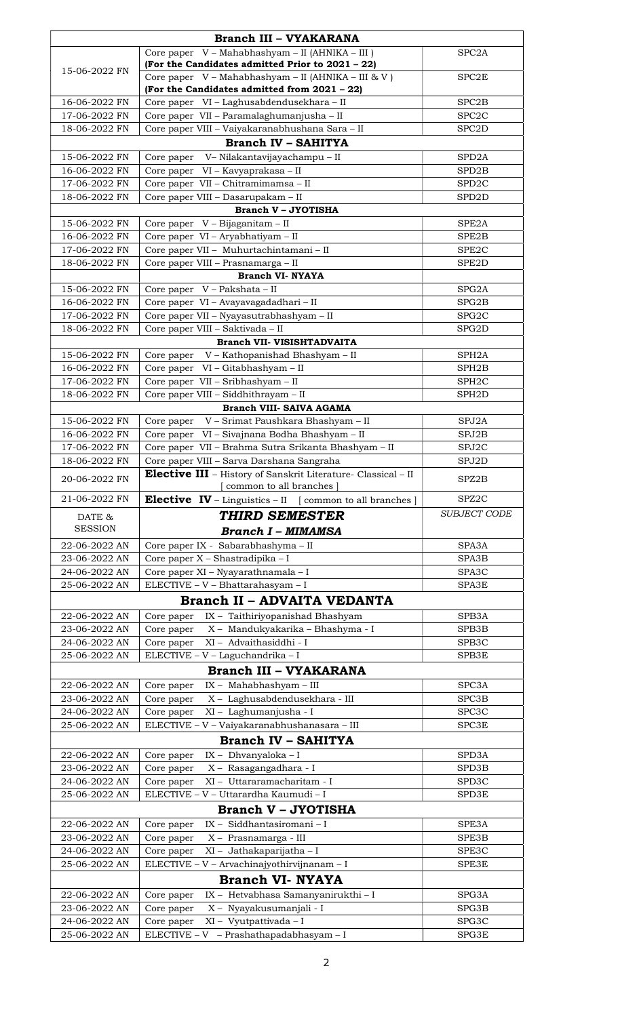| <b>Branch III - VYAKARANA</b>      |                                                                                                |                                          |  |  |  |
|------------------------------------|------------------------------------------------------------------------------------------------|------------------------------------------|--|--|--|
|                                    | Core paper V - Mahabhashyam - II (AHNIKA - III)                                                | SPC <sub>2</sub> A                       |  |  |  |
| 15-06-2022 FN                      | (For the Candidates admitted Prior to 2021 - 22)                                               |                                          |  |  |  |
|                                    | Core paper $V - Mahabhashyam - II (AHNIKA - III & V)$                                          | SPC <sub>2</sub> E                       |  |  |  |
|                                    | (For the Candidates admitted from 2021 - 22)                                                   |                                          |  |  |  |
| 16-06-2022 FN                      | Core paper VI - Laghusabdendusekhara - II                                                      | SPC <sub>2</sub> B                       |  |  |  |
| 17-06-2022 FN<br>18-06-2022 FN     | Core paper VII - Paramalaghumanjusha - II<br>Core paper VIII - Vaiyakaranabhushana Sara - II   | SPC <sub>2</sub> C<br>SPC <sub>2</sub> D |  |  |  |
|                                    | <b>Branch IV - SAHITYA</b>                                                                     |                                          |  |  |  |
| 15-06-2022 FN                      | V– Nilakantavijayachampu – II                                                                  | SPD <sub>2</sub> A                       |  |  |  |
| 16-06-2022 FN                      | Core paper<br>VI – Kavyaprakasa – II<br>Core paper                                             | SPD <sub>2</sub> B                       |  |  |  |
| 17-06-2022 FN                      | Core paper VII - Chitramimamsa - II                                                            | SPD <sub>2</sub> C                       |  |  |  |
| 18-06-2022 FN                      | Core paper VIII - Dasarupakam - II                                                             | SPD <sub>2</sub> D                       |  |  |  |
|                                    | <b>Branch V - JYOTISHA</b>                                                                     |                                          |  |  |  |
| 15-06-2022 FN                      | Core paper V - Bijaganitam - II                                                                | SPE2A                                    |  |  |  |
| 16-06-2022 FN                      | Core paper VI - Aryabhatiyam - II                                                              | SPE2B                                    |  |  |  |
| 17-06-2022 FN                      | Core paper VII - Muhurtachintamani - II                                                        | SPE <sub>2</sub> C                       |  |  |  |
| 18-06-2022 FN                      | Core paper VIII - Prasnamarga - II                                                             | SPE <sub>2</sub> D                       |  |  |  |
|                                    | <b>Branch VI- NYAYA</b>                                                                        |                                          |  |  |  |
| 15-06-2022 FN                      | Core paper V - Pakshata - II                                                                   | SPG <sub>2</sub> A                       |  |  |  |
| 16-06-2022 FN                      | Core paper VI - Avayavagadadhari - II                                                          | SPG2B                                    |  |  |  |
| 17-06-2022 FN<br>18-06-2022 FN     | Core paper VII - Nyayasutrabhashyam - II<br>Core paper VIII - Saktivada - II                   | SPG <sub>2</sub> C<br>SPG2D              |  |  |  |
|                                    | <b>Branch VII- VISISHTADVAITA</b>                                                              |                                          |  |  |  |
| 15-06-2022 FN                      | V – Kathopanishad Bhashyam – II<br>Core paper                                                  | SPH <sub>2</sub> A                       |  |  |  |
| 16-06-2022 FN                      | Core paper VI - Gitabhashyam - II                                                              | SPH <sub>2</sub> B                       |  |  |  |
| 17-06-2022 FN                      | Core paper VII - Sribhashyam - II                                                              | SPH <sub>2</sub> C                       |  |  |  |
| 18-06-2022 FN                      | Core paper VIII - Siddhithrayam - II                                                           | SPH <sub>2</sub> D                       |  |  |  |
|                                    | <b>Branch VIII- SAIVA AGAMA</b>                                                                |                                          |  |  |  |
| 15-06-2022 FN                      | V - Srimat Paushkara Bhashyam - II<br>Core paper                                               | SPJ2A                                    |  |  |  |
| 16-06-2022 FN                      | Core paper VI - Sivajnana Bodha Bhashyam - II                                                  | SPJ2B                                    |  |  |  |
| 17-06-2022 FN                      | Core paper VII - Brahma Sutra Srikanta Bhashyam - II                                           | SPJ2C                                    |  |  |  |
| 18-06-2022 FN                      | Core paper VIII - Sarva Darshana Sangraha                                                      | SPJ2D                                    |  |  |  |
| 20-06-2022 FN                      | <b>Elective III</b> - History of Sanskrit Literature- Classical - II<br>common to all branches | SPZ2B                                    |  |  |  |
| 21-06-2022 FN                      | <b>Elective IV</b> – Linguistics – II [common to all branches]                                 | SPZ2C                                    |  |  |  |
| DATE &                             | <b>THIRD SEMESTER</b>                                                                          | <b>SUBJECT CODE</b>                      |  |  |  |
| <b>SESSION</b>                     | <b>Branch I - MIMAMSA</b>                                                                      |                                          |  |  |  |
| 22-06-2022 AN                      | Core paper IX - Sabarabhashyma - II                                                            | SPA3A                                    |  |  |  |
| 23-06-2022 AN                      | Core paper X - Shastradipika - I                                                               | SPA3B                                    |  |  |  |
| 24-06-2022 AN                      | Core paper XI - Nyayarathnamala - I                                                            | SPA3C                                    |  |  |  |
| 25-06-2022 AN                      | ELECTIVE - V - Bhattarahasyam - I                                                              | SPA3E                                    |  |  |  |
| <b>Branch II - ADVAITA VEDANTA</b> |                                                                                                |                                          |  |  |  |
| 22-06-2022 AN                      | IX - Taithiriyopanishad Bhashyam<br>Core paper                                                 | SPB3A                                    |  |  |  |
| 23-06-2022 AN                      | Core paper<br>X - Mandukyakarika - Bhashyma - I                                                | SPB3B                                    |  |  |  |
| 24-06-2022 AN                      | XI - Advaithasiddhi - I<br>Core paper                                                          | SPB <sub>3</sub> C                       |  |  |  |
| 25-06-2022 AN                      | ELECTIVE - V - Laguchandrika - I                                                               | SPB3E                                    |  |  |  |
|                                    | <b>Branch III - VYAKARANA</b>                                                                  |                                          |  |  |  |
| 22-06-2022 AN                      | IX - Mahabhashyam - III<br>Core paper                                                          | SPC3A                                    |  |  |  |
| 23-06-2022 AN                      | X - Laghusabdendusekhara - III<br>Core paper                                                   | SPC3B                                    |  |  |  |
| 24-06-2022 AN<br>25-06-2022 AN     | XI - Laghumanjusha - I<br>Core paper<br>ELECTIVE - V - Vaiyakaranabhushanasara - III           | SPC <sub>3</sub> C<br>SPC3E              |  |  |  |
|                                    | <b>Branch IV - SAHITYA</b>                                                                     |                                          |  |  |  |
|                                    |                                                                                                | SPD3A                                    |  |  |  |
| 22-06-2022 AN<br>23-06-2022 AN     | IX - Dhvanyaloka - I<br>Core paper<br>X - Rasagangadhara - I<br>Core paper                     | SPD3B                                    |  |  |  |
| 24-06-2022 AN                      | XI - Uttararamacharitam - I<br>Core paper                                                      | SPD <sub>3</sub> C                       |  |  |  |
| 25-06-2022 AN                      | ELECTIVE - V - Uttarardha Kaumudi - I                                                          | SPD3E                                    |  |  |  |
|                                    | <b>Branch V - JYOTISHA</b>                                                                     |                                          |  |  |  |
| 22-06-2022 AN                      | IX - Siddhantasiromani - I<br>Core paper                                                       | SPE3A                                    |  |  |  |
| 23-06-2022 AN                      | X - Prasnamarga - III<br>Core paper                                                            | SPE3B                                    |  |  |  |
| 24-06-2022 AN                      | XI - Jathakaparijatha - I<br>Core paper                                                        | SPE3C                                    |  |  |  |
| 25-06-2022 AN                      | ELECTIVE - V - Arvachinajyothirvijnanam - I                                                    | SPE3E                                    |  |  |  |
| <b>Branch VI- NYAYA</b>            |                                                                                                |                                          |  |  |  |
| 22-06-2022 AN                      | IX - Hetvabhasa Samanyanirukthi - I<br>Core paper                                              | SPG3A                                    |  |  |  |
| 23-06-2022 AN                      | Core paper<br>X - Nyayakusumanjali - I                                                         | SPG3B                                    |  |  |  |
| 24-06-2022 AN                      | XI - Vyutpattivada - I<br>Core paper                                                           | SPG3C                                    |  |  |  |
| 25-06-2022 AN                      | $ELECTIVE - V - Prashathapadabhasyam - I$                                                      | SPG3E                                    |  |  |  |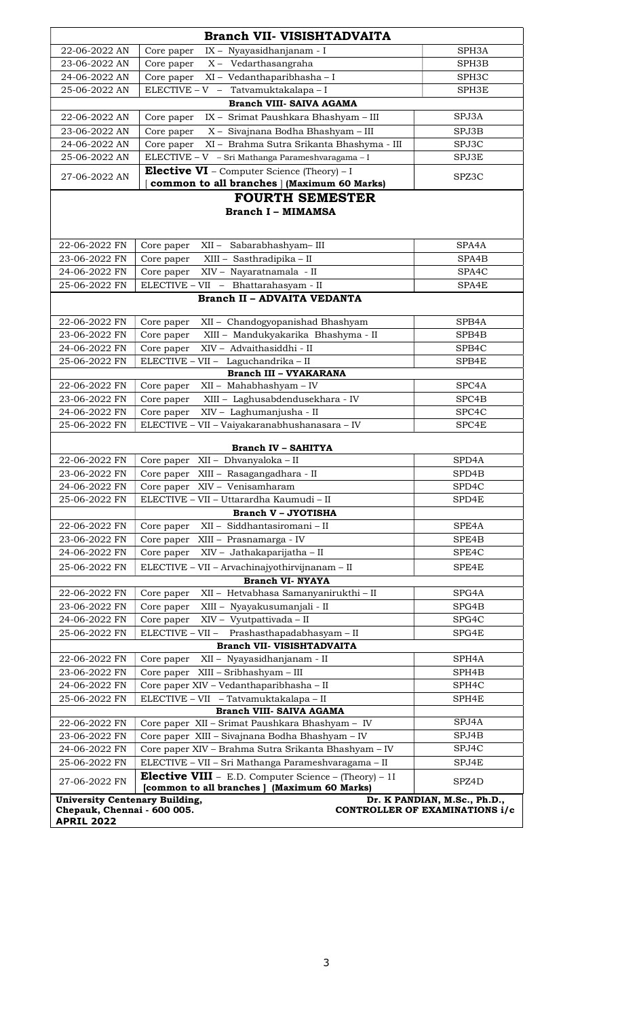|                                       | Branch VII- VISISHTADVAITA                                                  |                                |
|---------------------------------------|-----------------------------------------------------------------------------|--------------------------------|
| 22-06-2022 AN                         | IX - Nyayasidhanjanam - I<br>Core paper                                     | SPH3A                          |
| 23-06-2022 AN                         | X - Vedarthasangraha<br>Core paper                                          | SPH3B                          |
| 24-06-2022 AN                         | XI - Vedanthaparibhasha - I<br>Core paper                                   | SPH <sub>3</sub> C             |
| 25-06-2022 AN                         | ELECTIVE - V - Tatvamuktakalapa - I                                         | SPH3E                          |
|                                       | <b>Branch VIII- SAIVA AGAMA</b>                                             |                                |
| 22-06-2022 AN                         | IX - Srimat Paushkara Bhashyam - III<br>Core paper                          | SPJ3A                          |
| 23-06-2022 AN                         | Core paper<br>X - Sivajnana Bodha Bhashyam - III                            | SPJ3B                          |
| 24-06-2022 AN                         | XI - Brahma Sutra Srikanta Bhashyma - III<br>Core paper                     | SPJ3C                          |
| 25-06-2022 AN                         | ELECTIVE - V - Sri Mathanga Parameshvaragama - I                            | SPJ3E                          |
|                                       | <b>Elective VI</b> – Computer Science (Theory) – I                          |                                |
| 27-06-2022 AN                         | common to all branches   (Maximum 60 Marks)                                 | SPZ3C                          |
|                                       | <b>FOURTH SEMESTER</b>                                                      |                                |
|                                       | <b>Branch I - MIMAMSA</b>                                                   |                                |
|                                       |                                                                             |                                |
|                                       |                                                                             |                                |
| 22-06-2022 FN                         | Sabarabhashyam-III<br>Core paper<br>XII –                                   | SPA4A                          |
| 23-06-2022 FN                         | Core paper<br>XIII - Sasthradipika - II                                     | SPA4B                          |
| 24-06-2022 FN                         | XIV - Nayaratnamala - II<br>Core paper                                      | SPA4C                          |
| 25-06-2022 FN                         | ELECTIVE - VII - Bhattarahasyam - II                                        | SPA4E                          |
|                                       | <b>Branch II - ADVAITA VEDANTA</b>                                          |                                |
| 22-06-2022 FN                         | Core paper<br>XII - Chandogyopanishad Bhashyam                              | SPB4A                          |
| 23-06-2022 FN                         | XIII - Mandukyakarika Bhashyma - II<br>Core paper                           | SPB4B                          |
| 24-06-2022 FN                         | XIV - Advaithasiddhi - II<br>Core paper                                     | SPB4C                          |
| 25-06-2022 FN                         | ELECTIVE - VII - Laguchandrika - II                                         | SPB4E                          |
|                                       | <b>Branch III - VYAKARANA</b>                                               |                                |
| 22-06-2022 FN                         | XII - Mahabhashyam - IV<br>Core paper                                       | SPC <sub>4</sub> A             |
| 23-06-2022 FN                         | XIII - Laghusabdendusekhara - IV<br>Core paper                              | SPC4B                          |
| 24-06-2022 FN                         | XIV - Laghumanjusha - II<br>Core paper                                      | SPC4C                          |
| 25-06-2022 FN                         | ELECTIVE - VII - Vaiyakaranabhushanasara - IV                               | SPC4E                          |
|                                       |                                                                             |                                |
|                                       | <b>Branch IV - SAHITYA</b>                                                  |                                |
| 22-06-2022 FN                         | XII - Dhvanyaloka - II<br>Core paper                                        | SPD4A                          |
| 23-06-2022 FN                         | XIII - Rasagangadhara - II<br>Core paper                                    | SPD4B                          |
| 24-06-2022 FN                         | Core paper XIV - Venisamharam                                               | SPD4C                          |
| 25-06-2022 FN                         | ELECTIVE - VII - Uttarardha Kaumudi - II                                    | SPD4E                          |
|                                       | <b>Branch V - JYOTISHA</b>                                                  |                                |
| 22-06-2022 FN                         | XII - Siddhantasiromani - II<br>Core paper                                  | SPE4A                          |
| 23-06-2022 FN                         | XIII - Prasnamarga - IV<br>Core paper                                       | SPE4B                          |
| 24-06-2022 FN                         | XIV - Jathakaparijatha - II<br>Core paper                                   | SPE4C                          |
| 25-06-2022 FN                         | ELECTIVE - VII - Arvachinajyothirvijnanam - II                              | SPE4E                          |
|                                       | <b>Branch VI- NYAYA</b>                                                     |                                |
| 22-06-2022 FN                         | XII - Hetvabhasa Samanyanirukthi - II<br>Core paper                         | SPG4A                          |
| 23-06-2022 FN                         | XIII - Nyayakusumanjali - II<br>Core paper                                  | SPG4B                          |
| 24-06-2022 FN                         | XIV - Vyutpattivada - II<br>Core paper                                      | SPG4C                          |
| 25-06-2022 FN                         | ELECTIVE - VII -<br>Prashasthapadabhasyam - II                              | SPG4E                          |
|                                       | Branch VII- VISISHTADVAITA                                                  |                                |
| 22-06-2022 FN                         | XII - Nyayasidhanjanam - II<br>Core paper                                   | SPH4A                          |
| 23-06-2022 FN                         | Core paper XIII - Sribhashyam - III                                         | SPH <sub>4</sub> B             |
| 24-06-2022 FN                         | Core paper XIV - Vedanthaparibhasha - II                                    | SPH4C                          |
| 25-06-2022 FN                         | ELECTIVE - VII - Tatvamuktakalapa - II                                      | SPH4E                          |
| 22-06-2022 FN                         | Branch VIII- SAIVA AGAMA<br>Core paper XII - Srimat Paushkara Bhashyam - IV | SPJ4A                          |
| 23-06-2022 FN                         | Core paper XIII - Sivajnana Bodha Bhashyam - IV                             | SPJ4B                          |
| 24-06-2022 FN                         | Core paper XIV - Brahma Sutra Srikanta Bhashyam - IV                        | SPJ4C                          |
| 25-06-2022 FN                         | ELECTIVE - VII - Sri Mathanga Parameshvaragama - II                         | SPJ4E                          |
|                                       | <b>Elective VIII</b> - E.D. Computer Science - $(Theory) - 1I$              |                                |
| 27-06-2022 FN                         | [common to all branches] (Maximum 60 Marks)                                 | SPZ4D                          |
| <b>University Centenary Building,</b> |                                                                             | Dr. K PANDIAN, M.Sc., Ph.D.,   |
| Chepauk, Chennai - 600 005.           |                                                                             | CONTROLLER OF EXAMINATIONS i/c |
| <b>APRIL 2022</b>                     |                                                                             |                                |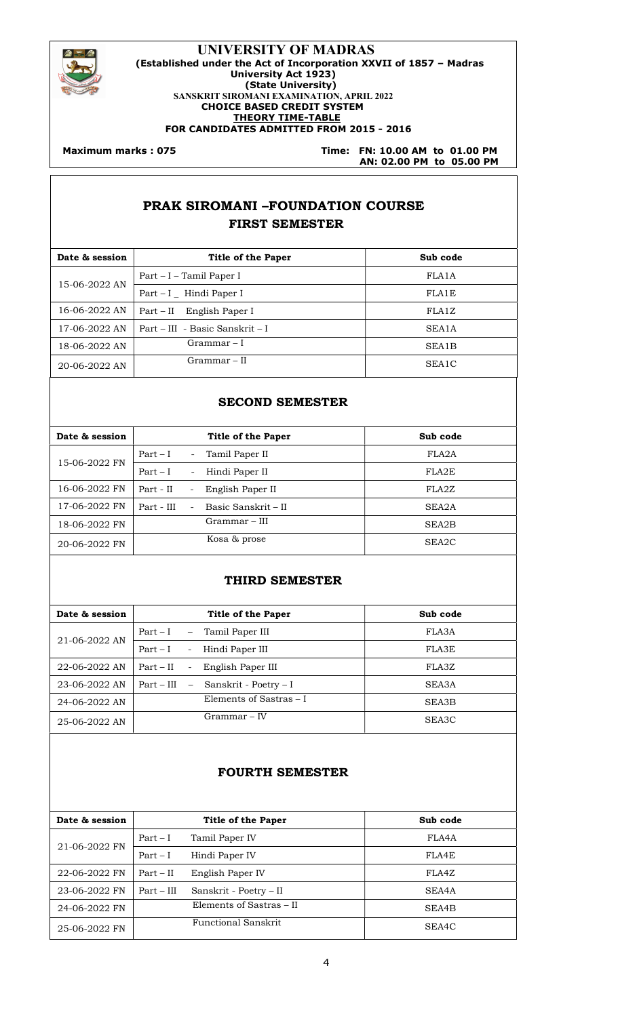

#### UNIVERSITY OF MADRAS (Established under the Act of Incorporation XXVII of 1857 – Madras University Act 1923) (State University) SANSKRIT SIROMANI EXAMINATION, APRIL 2022 CHOICE BASED CREDIT SYSTEM THEORY TIME-TABLE FOR CANDIDATES ADMITTED FROM 2015 - 2016

#### **Maximum marks: 075**

Time: FN: 10.00 AM to 01.00 PM AN: 02.00 PM to 05.00 PM

## PRAK SIROMANI –FOUNDATION COURSE FIRST SEMESTER

| Date & session | Title of the Paper              | Sub code           |
|----------------|---------------------------------|--------------------|
| 15-06-2022 AN  | Part – I – Tamil Paper I        | FLA <sub>1</sub> A |
|                | $Part - I$ Hindi Paper I        | FLA1E              |
| 16-06-2022 AN  | English Paper I<br>Part – II    | FLA1Z              |
| 17-06-2022 AN  | Part – III – Basic Sanskrit – I | SEA <sub>1</sub> A |
| 18-06-2022 AN  | Grammar – I                     | SEA1B              |
| 20-06-2022 AN  | Grammar – II                    | SEA1C              |

#### SECOND SEMESTER

| Date & session | Title of the Paper                                        | Sub code |
|----------------|-----------------------------------------------------------|----------|
| 15-06-2022 FN  | Tamil Paper II<br>$Part-I$<br>$\sim$                      | FLA2A    |
|                | Hindi Paper II<br>$Part-I$<br>$\sim$                      | FLA2E    |
| 16-06-2022 FN  | Part - II<br>English Paper II<br>$\overline{\phantom{0}}$ | FLA2Z    |
| 17-06-2022 FN  | Basic Sanskrit – II<br>Part - III<br>$\sim$               | SEA2A    |
| 18-06-2022 FN  | Grammar – III                                             | SEA2B    |
| 20-06-2022 FN  | Kosa & prose                                              | SEA2C    |

#### THIRD SEMESTER

| Date & session | <b>Title of the Paper</b>                                    | Sub code |
|----------------|--------------------------------------------------------------|----------|
| 21-06-2022 AN  | Part – I<br>Tamil Paper III<br>$ \,$                         | FLA3A    |
|                | $Part-I$<br>Hindi Paper III<br>$\overline{\phantom{a}}$      | FLA3E    |
| 22-06-2022 AN  | $Part - II$<br>English Paper III<br>$\overline{\phantom{a}}$ | FLA3Z    |
| 23-06-2022 AN  | Part – III<br>Sanskrit - Poetry - I<br>$-$                   | SEA3A    |
| 24-06-2022 AN  | Elements of Sastras – I                                      | SEA3B    |
| 25-06-2022 AN  | $Grammar - IV$                                               | SEA3C    |
|                |                                                              |          |

### FOURTH SEMESTER

| Date & session |              | <b>Title of the Paper</b> | Sub code |
|----------------|--------------|---------------------------|----------|
|                | $Part-I$     | Tamil Paper IV            | FLA4A    |
| 21-06-2022 FN  | $Part-I$     | Hindi Paper IV            | FLA4E    |
| 22-06-2022 FN  | $Part - II$  | English Paper IV          | FLA4Z    |
| 23-06-2022 FN  | $Part - III$ | Sanskrit - Poetry – II    | SEA4A    |
| 24-06-2022 FN  |              | Elements of Sastras - II  | SEA4B    |
| 25-06-2022 FN  |              | Functional Sanskrit       | SEA4C    |
|                |              |                           |          |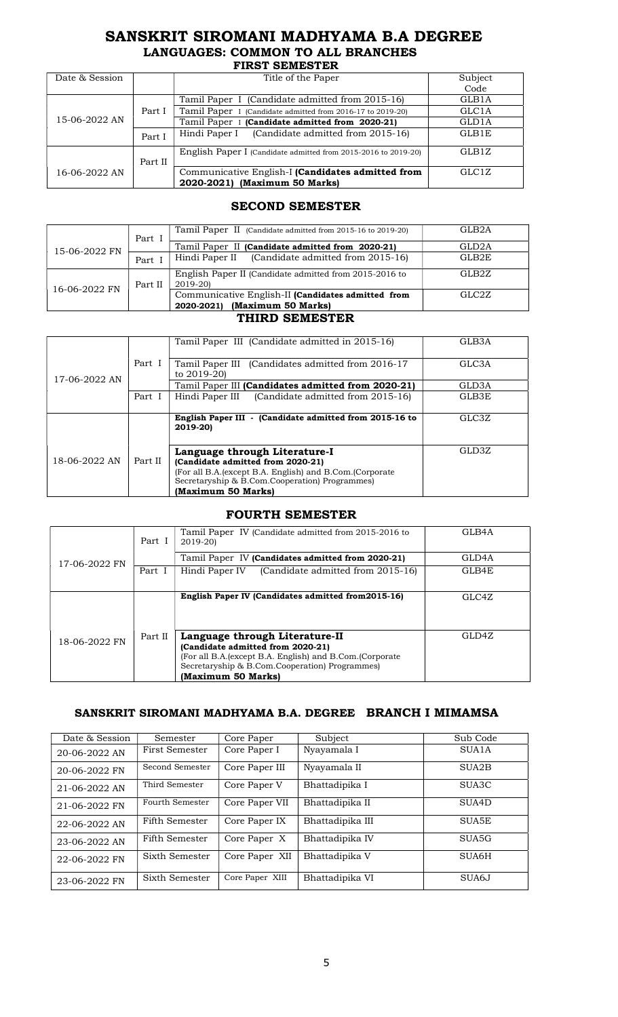### SANSKRIT SIROMANI MADHYAMA B.A DEGREE LANGUAGES: COMMON TO ALL BRANCHES

| <b>FIRST SEMESTER</b> |         |                                                                                    |                    |  |  |
|-----------------------|---------|------------------------------------------------------------------------------------|--------------------|--|--|
| Date & Session        |         | Title of the Paper                                                                 | Subject            |  |  |
|                       |         |                                                                                    | Code               |  |  |
|                       |         | Tamil Paper I (Candidate admitted from 2015-16)                                    | GLB1A              |  |  |
|                       | Part I  | Tamil Paper I (Candidate admitted from 2016-17 to 2019-20)                         | GLC1A              |  |  |
| 15-06-2022 AN         |         | Tamil Paper I (Candidate admitted from 2020-21)                                    | GLD1A              |  |  |
|                       | Part I  | Hindi Paper I (Candidate admitted from 2015-16)                                    | GLB1E              |  |  |
|                       | Part II | English Paper I (Candidate admitted from 2015-2016 to 2019-20)                     | GLB1Z              |  |  |
| 16-06-2022 AN         |         | Communicative English-I (Candidates admitted from<br>2020-2021) (Maximum 50 Marks) | GLC <sub>1</sub> Z |  |  |

### SECOND SEMESTER

|               | Part I  | Tamil Paper II (Candidate admitted from 2015-16 to 2019-20)                         | GLB <sub>2</sub> A |
|---------------|---------|-------------------------------------------------------------------------------------|--------------------|
| 15-06-2022 FN |         | Tamil Paper II (Candidate admitted from 2020-21)                                    | GLD <sub>2</sub> A |
|               | Part I  | Hindi Paper II (Candidate admitted from 2015-16)                                    | GLB2E              |
|               | Part II | English Paper II (Candidate admitted from 2015-2016 to<br>2019-201                  | GLB2Z              |
| 16-06-2022 FN |         | Communicative English-II (Candidates admitted from<br>2020-2021) (Maximum 50 Marks) | GLC2Z              |

#### THIRD SEMESTER

|               |         | Tamil Paper III (Candidate admitted in 2015-16)           | GLB3A              |
|---------------|---------|-----------------------------------------------------------|--------------------|
|               |         |                                                           |                    |
|               | Part I  | Tamil Paper III (Candidates admitted from 2016-17)        | GLC <sub>3</sub> A |
| 17-06-2022 AN |         | to 2019-20)                                               |                    |
|               |         | Tamil Paper III (Candidates admitted from 2020-21)        | GLD3A              |
|               | Part I  | Hindi Paper III (Candidate admitted from 2015-16)         | GLB3E              |
|               |         |                                                           |                    |
|               |         | English Paper III - (Candidate admitted from 2015-16 to   | GLC3Z              |
|               |         | 2019-201                                                  |                    |
|               |         |                                                           |                    |
| 18-06-2022 AN | Part II | Language through Literature-I                             | GLD3Z              |
|               |         | (Candidate admitted from 2020-21)                         |                    |
|               |         | (For all B.A. (except B.A. English) and B.Com. (Corporate |                    |
|               |         | Secretaryship & B.Com.Cooperation) Programmes)            |                    |
|               |         | (Maximum 50 Marks)                                        |                    |

#### FOURTH SEMESTER

|               | Part I  | Tamil Paper IV (Candidate admitted from 2015-2016 to<br>2019-20)                                                                                                                                          | GLB4A |
|---------------|---------|-----------------------------------------------------------------------------------------------------------------------------------------------------------------------------------------------------------|-------|
| 17-06-2022 FN |         | Tamil Paper IV (Candidates admitted from 2020-21)                                                                                                                                                         | GLD4A |
|               | Part 1  | (Candidate admitted from 2015-16)<br>Hindi Paper IV                                                                                                                                                       | GLB4E |
|               |         | English Paper IV (Candidates admitted from 2015-16)                                                                                                                                                       | GLC4Z |
| 18-06-2022 FN | Part II | Language through Literature-II<br>(Candidate admitted from 2020-21)<br>(For all B.A. (except B.A. English) and B.Com. (Corporate)<br>Secretaryship & B.Com.Cooperation) Programmes)<br>(Maximum 50 Marks) | GLD4Z |

### SANSKRIT SIROMANI MADHYAMA B.A. DEGREE BRANCH I MIMAMSA

| Date & Session | Semester        | Core Paper      | Subject          | Sub Code           |
|----------------|-----------------|-----------------|------------------|--------------------|
| 20-06-2022 AN  | First Semester  | Core Paper I    | Nyayamala I      | SUA1A              |
| 20-06-2022 FN  | Second Semester | Core Paper III  | Nyayamala II     | SUA <sub>2</sub> B |
| 21-06-2022 AN  | Third Semester  | Core Paper V    | Bhattadipika I   | SUA3C              |
| 21-06-2022 FN  | Fourth Semester | Core Paper VII  | Bhattadipika II  | SUA4D              |
| 22-06-2022 AN  | Fifth Semester  | Core Paper IX   | Bhattadipika III | SUA5E              |
| 23-06-2022 AN  | Fifth Semester  | Core Paper X    | Bhattadipika IV  | SUA <sub>5</sub> G |
| 22-06-2022 FN  | Sixth Semester  | Core Paper XII  | Bhattadipika V   | SUA6H              |
| 23-06-2022 FN  | Sixth Semester  | Core Paper XIII | Bhattadipika VI  | SUA6J              |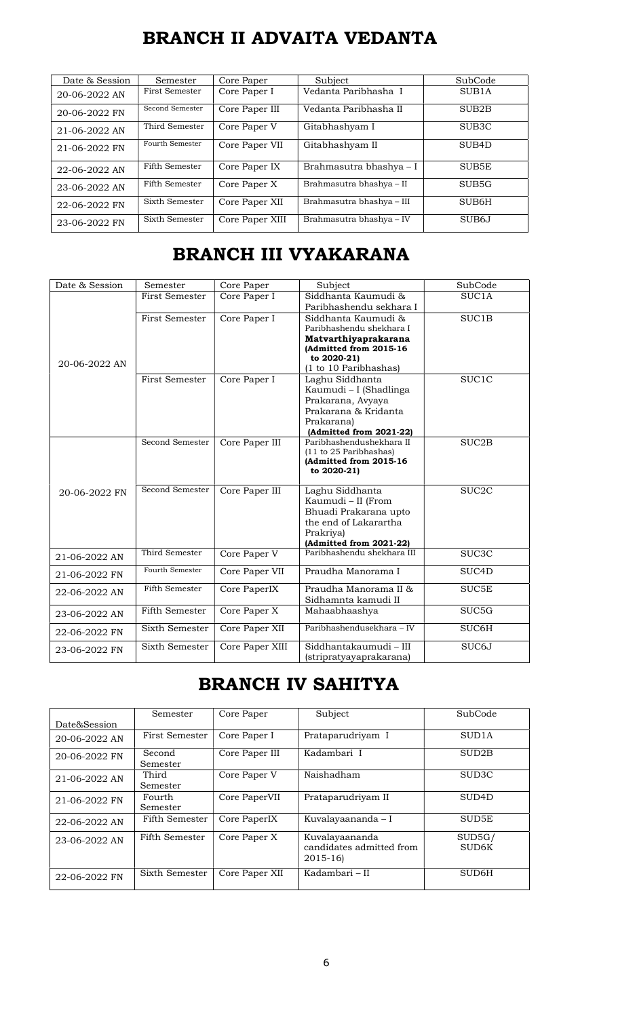# BRANCH II ADVAITA VEDANTA

| Date & Session | Semester        | Core Paper      | Subject                   | SubCode            |
|----------------|-----------------|-----------------|---------------------------|--------------------|
| 20-06-2022 AN  | First Semester  | Core Paper I    | Vedanta Paribhasha I      | SUB <sub>1</sub> A |
| 20-06-2022 FN  | Second Semester | Core Paper III  | Vedanta Paribhasha II     | SUB <sub>2</sub> B |
| 21-06-2022 AN  | Third Semester  | Core Paper V    | Gitabhashyam I            | SUB <sub>3</sub> C |
| 21-06-2022 FN  | Fourth Semester | Core Paper VII  | Gitabhashyam II           | SUB <sub>4</sub> D |
| 22-06-2022 AN  | Fifth Semester  | Core Paper IX   | Brahmasutra bhashya - I   | SUB5E              |
| 23-06-2022 AN  | Fifth Semester  | Core Paper X    | Brahmasutra bhashya - II  | SUB <sub>5</sub> G |
| 22-06-2022 FN  | Sixth Semester  | Core Paper XII  | Brahmasutra bhashya - III | SUB6H              |
| 23-06-2022 FN  | Sixth Semester  | Core Paper XIII | Brahmasutra bhashya - IV  | SUB <sub>6</sub> J |

# BRANCH III VYAKARANA

| Date & Session | Semester              | Core Paper      | Subject                                                                                                                                   | SubCode            |
|----------------|-----------------------|-----------------|-------------------------------------------------------------------------------------------------------------------------------------------|--------------------|
|                | First Semester        | Core Paper I    | Siddhanta Kaumudi &<br>Paribhashendu sekhara I                                                                                            | SUC <sub>1</sub> A |
| 20-06-2022 AN  | <b>First Semester</b> | Core Paper I    | Siddhanta Kaumudi &<br>Paribhashendu shekhara I<br>Matvarthiyaprakarana<br>(Admitted from 2015-16<br>to 2020-21)<br>(1 to 10 Paribhashas) | SUC1B              |
|                | <b>First Semester</b> | Core Paper I    | Laghu Siddhanta<br>Kaumudi - I (Shadlinga<br>Prakarana, Avyaya<br>Prakarana & Kridanta<br>Prakarana)<br>(Admitted from 2021-22)           | SUC1C              |
|                | Second Semester       | Core Paper III  | Paribhashendushekhara II<br>(11 to 25 Paribhashas)<br>(Admitted from 2015-16<br>to 2020-21)                                               | SUC <sub>2</sub> B |
| 20-06-2022 FN  | Second Semester       | Core Paper III  | Laghu Siddhanta<br>Kaumudi - II (From<br>Bhuadi Prakarana upto<br>the end of Lakarartha<br>Prakriya)<br>(Admitted from 2021-22)           | SUC <sub>2</sub> C |
| 21-06-2022 AN  | Third Semester        | Core Paper V    | Paribhashendu shekhara III                                                                                                                | SUC <sub>3</sub> C |
| 21-06-2022 FN  | Fourth Semester       | Core Paper VII  | Praudha Manorama I                                                                                                                        | SUC <sub>4</sub> D |
| 22-06-2022 AN  | Fifth Semester        | Core PaperIX    | Praudha Manorama II &<br>Sidhamnta kamudi II                                                                                              | SUC5E              |
| 23-06-2022 AN  | Fifth Semester        | Core Paper X    | Mahaabhaashya                                                                                                                             | SUC5G              |
| 22-06-2022 FN  | Sixth Semester        | Core Paper XII  | Paribhashendusekhara - IV                                                                                                                 | SUC6H              |
| 23-06-2022 FN  | Sixth Semester        | Core Paper XIII | Siddhantakaumudi – III<br>(stripratyayaprakarana)                                                                                         | SUC6J              |

# BRANCH IV SAHITYA

|               | Semester        | Core Paper     | Subject                  | SubCode            |
|---------------|-----------------|----------------|--------------------------|--------------------|
| Date&Session  |                 |                |                          |                    |
| 20-06-2022 AN | First Semester  | Core Paper I   | Prataparudriyam I        | SUD <sub>1</sub> A |
| 20-06-2022 FN | Second          | Core Paper III | Kadambari I              | SUD <sub>2</sub> B |
|               | <b>Semester</b> |                |                          |                    |
| 21-06-2022 AN | Third           | Core Paper V   | Naishadham               | SUD <sub>3</sub> C |
|               | Semester        |                |                          |                    |
| 21-06-2022 FN | Fourth          | Core PaperVII  | Prataparudriyam II       | SUD <sub>4</sub> D |
|               | <b>Semester</b> |                |                          |                    |
| 22-06-2022 AN | Fifth Semester  | Core PaperIX   | Kuvalayaananda – I       | SUD5E              |
|               |                 |                |                          |                    |
| 23-06-2022 AN | Fifth Semester  | Core Paper X   | Kuvalayaananda           | SUB5G/             |
|               |                 |                | candidates admitted from | SUD6K              |
|               |                 |                | $2015 - 16$              |                    |
| 22-06-2022 FN | Sixth Semester  | Core Paper XII | Kadambari – II           | SUD6H              |
|               |                 |                |                          |                    |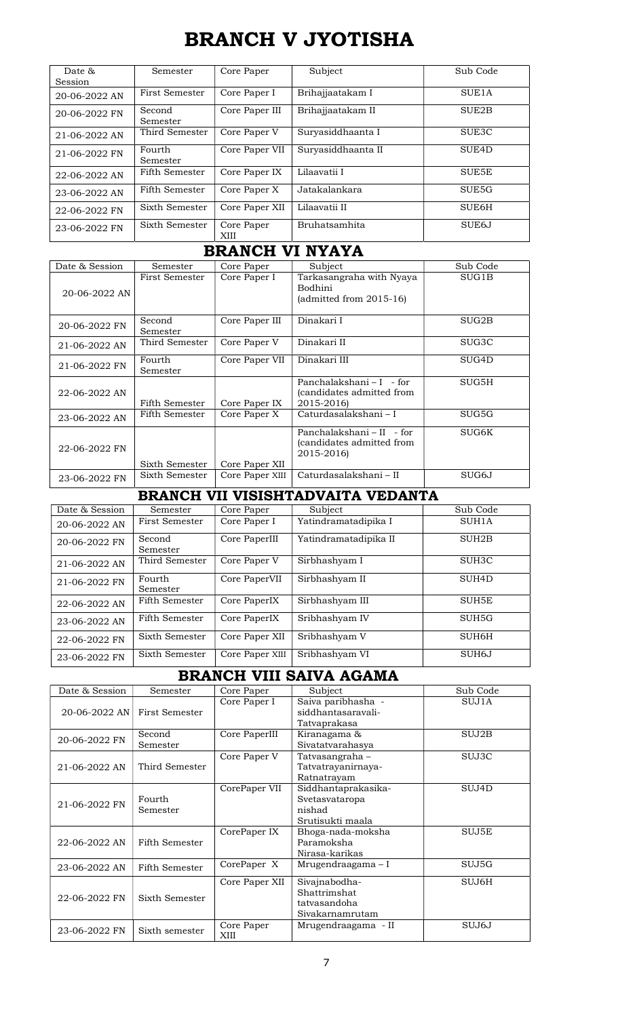# BRANCH V JYOTISHA

| Date $\alpha$ | <b>Semester</b> | Core Paper     | Subject            | Sub Code           |
|---------------|-----------------|----------------|--------------------|--------------------|
| Session       |                 |                |                    |                    |
|               |                 |                |                    |                    |
| 20-06-2022 AN | First Semester  | Core Paper I   | Brihajjaatakam I   | SUE <sub>1</sub> A |
| 20-06-2022 FN | Second          | Core Paper III | Brihajjaatakam II  | SUE <sub>2</sub> B |
|               | Semester        |                |                    |                    |
| 21-06-2022 AN | Third Semester  | Core Paper V   | Suryasiddhaanta I  | SUE <sub>3</sub> C |
|               |                 |                |                    |                    |
| 21-06-2022 FN | Fourth          | Core Paper VII | Survasiddhaanta II | SUE <sub>4</sub> D |
|               | Semester        |                |                    |                    |
| 22-06-2022 AN | Fifth Semester  | Core Paper IX  | Lilaavatii I       | SUE5E              |
|               |                 |                |                    |                    |
| 23-06-2022 AN | Fifth Semester  | Core Paper X   | Jatakalankara      | SUE <sub>5</sub> G |
| 22-06-2022 FN | Sixth Semester  | Core Paper XII | Lilaavatii II      | SUE6H              |
|               |                 |                |                    |                    |
| 23-06-2022 FN | Sixth Semester  | Core Paper     | Bruhatsamhita      | SUE <sub>6</sub> J |
|               |                 | XIII           |                    |                    |
|               |                 |                |                    |                    |

## BRANCH VI NYAYA

| Date & Session | Semester           | Core Paper      | Subject                                                              | Sub Code |
|----------------|--------------------|-----------------|----------------------------------------------------------------------|----------|
| 20-06-2022 AN  | First Semester     | Core Paper I    | Tarkasangraha with Nyaya<br>Bodhini<br>(admitted from $2015-16$ )    | SUG1B    |
| 20-06-2022 FN  | Second<br>Semester | Core Paper III  | Dinakari I                                                           | SUG2B    |
| 21-06-2022 AN  | Third Semester     | Core Paper V    | Dinakari II                                                          | SUG3C    |
| 21-06-2022 FN  | Fourth<br>Semester | Core Paper VII  | Dinakari III                                                         | SUG4D    |
| 22-06-2022 AN  | Fifth Semester     | Core Paper IX   | Panchalakshani – I – for<br>(candidates admitted from<br>2015-2016)  | SUG5H    |
| 23-06-2022 AN  | Fifth Semester     | Core Paper X    | Caturdasalakshani – I                                                | SUG5G    |
| 22-06-2022 FN  | Sixth Semester     | Core Paper XII  | Panchalakshani – II – for<br>(candidates admitted from<br>2015-2016) | SUG6K    |
| 23-06-2022 FN  | Sixth Semester     | Core Paper XIII | Caturdasalakshani – II                                               | SUG6J    |

# BRANCH VII VISISHTADVAITA VEDANTA

| Date & Session | Semester           | Core Paper      | Subject               | Sub Code           |
|----------------|--------------------|-----------------|-----------------------|--------------------|
| 20-06-2022 AN  | First Semester     | Core Paper I    | Yatindramatadipika I  | SUH1A              |
| 20-06-2022 FN  | Second<br>Semester | Core PaperIII   | Yatindramatadipika II | SUH <sub>2</sub> B |
| 21-06-2022 AN  | Third Semester     | Core Paper V    | Sirbhashyam I         | SUH <sub>3</sub> C |
| 21-06-2022 FN  | Fourth<br>Semester | Core PaperVII   | Sirbhashyam II        | SUH <sub>4</sub> D |
| 22-06-2022 AN  | Fifth Semester     | Core PaperIX    | Sirbhashyam III       | SUH5E              |
| 23-06-2022 AN  | Fifth Semester     | Core PaperIX    | Sribhashyam IV        | SUH <sub>5G</sub>  |
| 22-06-2022 FN  | Sixth Semester     | Core Paper XII  | Sribhashyam V         | SUH6H              |
| 23-06-2022 FN  | Sixth Semester     | Core Paper XIII | Sribhashyam VI        | SUH <sub>6</sub> J |

# BRANCH VIII SAIVA AGAMA

| Date & Session | Semester       | Core Paper         | Subject             | Sub Code |
|----------------|----------------|--------------------|---------------------|----------|
|                |                | Core Paper I       | Saiva paribhasha -  | SUJ1A    |
| 20-06-2022 AN  | First Semester |                    | siddhantasarayali-  |          |
|                |                |                    | Tatvaprakasa        |          |
| 20-06-2022 FN  | Second         | Core PaperIII      | Kiranagama &        | SUJ2B    |
|                | Semester       |                    | Sivatatvarahasya    |          |
|                |                | Core Paper V       | Tatvasangraha –     | SUJ3C    |
| 21-06-2022 AN  | Third Semester |                    | Tatvatrayanirnaya-  |          |
|                |                |                    | Ratnatrayam         |          |
|                |                | CorePaper VII      | Siddhantaprakasika- | SUJ4D    |
| 21-06-2022 FN  | Fourth         |                    | Svetasvataropa      |          |
|                | Semester       |                    | nishad              |          |
|                |                |                    | Srutisukti maala    |          |
|                |                | CorePaper IX       | Bhoga-nada-moksha   | SUJ5E    |
| 22-06-2022 AN  | Fifth Semester |                    | Paramoksha          |          |
|                |                |                    | Nirasa-karikas      |          |
| 23-06-2022 AN  | Fifth Semester | CorePaper X        | Mrugendraagama – I  | SUJ5G    |
|                |                | Core Paper XII     | Sivajnabodha-       | SUJ6H    |
| 22-06-2022 FN  | Sixth Semester |                    | Shattrimshat        |          |
|                |                |                    | tatvasandoha        |          |
|                |                |                    | Sivakarnamrutam     |          |
| 23-06-2022 FN  | Sixth semester | Core Paper<br>XIII | Mrugendraagama - II | SUJ6J    |